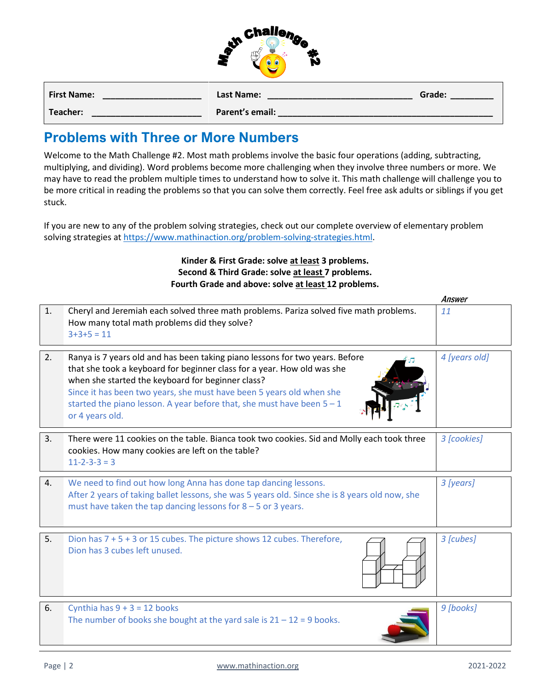|               | <b>challen</b> |                |
|---------------|----------------|----------------|
| $\mathcal{N}$ |                | $\mathbf{w}_i$ |
|               |                |                |

| <b>First Name:</b> | Last Name:      | Grade: |
|--------------------|-----------------|--------|
| Teacher:           | Parent's email: |        |

## **Problems with Three or More Numbers**

Welcome to the Math Challenge #2. Most math problems involve the basic four operations (adding, subtracting, multiplying, and dividing). Word problems become more challenging when they involve three numbers or more. We may have to read the problem multiple times to understand how to solve it. This math challenge will challenge you to be more critical in reading the problems so that you can solve them correctly. Feel free ask adults or siblings if you get stuck.

If you are new to any of the problem solving strategies, check out our complete overview of elementary problem solving strategies a[t https://www.mathinaction.org/problem-solving-strategies.html.](https://www.mathinaction.org/problem-solving-strategies.html)

> **Kinder & First Grade: solve at least 3 problems. Second & Third Grade: solve at least 7 problems. Fourth Grade and above: solve at least 12 problems.**

|    |                                                                                                                                                                                                                                                                                                                                                                                     | AIIƏWUI       |
|----|-------------------------------------------------------------------------------------------------------------------------------------------------------------------------------------------------------------------------------------------------------------------------------------------------------------------------------------------------------------------------------------|---------------|
| 1. | Cheryl and Jeremiah each solved three math problems. Pariza solved five math problems.<br>How many total math problems did they solve?<br>$3+3+5=11$                                                                                                                                                                                                                                | 11            |
| 2. | Ranya is 7 years old and has been taking piano lessons for two years. Before<br>that she took a keyboard for beginner class for a year. How old was she<br>when she started the keyboard for beginner class?<br>Since it has been two years, she must have been 5 years old when she<br>started the piano lesson. A year before that, she must have been $5 - 1$<br>or 4 years old. | 4 [years old] |
| 3. | There were 11 cookies on the table. Bianca took two cookies. Sid and Molly each took three<br>cookies. How many cookies are left on the table?<br>$11 - 2 - 3 - 3 = 3$                                                                                                                                                                                                              | 3 [cookies]   |
| 4. | We need to find out how long Anna has done tap dancing lessons.<br>After 2 years of taking ballet lessons, she was 5 years old. Since she is 8 years old now, she<br>must have taken the tap dancing lessons for $8 - 5$ or 3 years.                                                                                                                                                | 3 [years]     |
| 5. | Dion has $7 + 5 + 3$ or 15 cubes. The picture shows 12 cubes. Therefore,<br>Dion has 3 cubes left unused.                                                                                                                                                                                                                                                                           | 3 [cubes]     |
| 6. | Cynthia has $9 + 3 = 12$ books<br>The number of books she bought at the yard sale is $21 - 12 = 9$ books.                                                                                                                                                                                                                                                                           | 9 [books]     |

Answer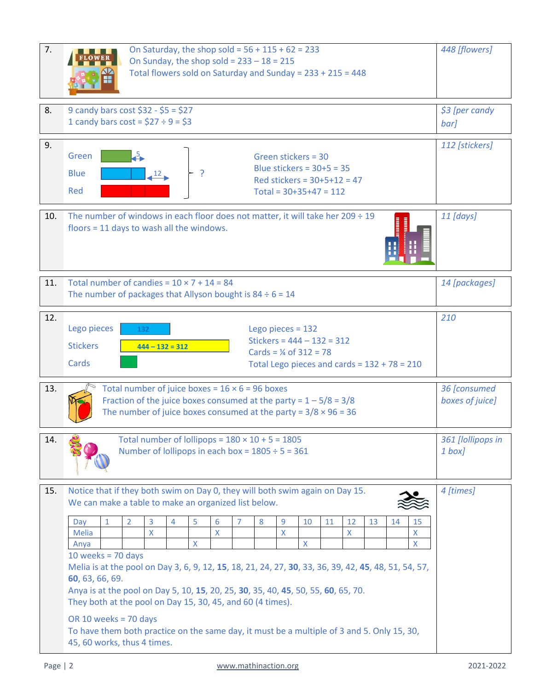| 7.  | On Saturday, the shop sold = $56 + 115 + 62 = 233$<br>On Sunday, the shop sold = $233 - 18 = 215$<br>Total flowers sold on Saturday and Sunday = 233 + 215 = 448                                                                                                                                                                                                                                                                                                                                                                                                                                                                                                                                                                                                                                                                         |                |  |  |  |  |
|-----|------------------------------------------------------------------------------------------------------------------------------------------------------------------------------------------------------------------------------------------------------------------------------------------------------------------------------------------------------------------------------------------------------------------------------------------------------------------------------------------------------------------------------------------------------------------------------------------------------------------------------------------------------------------------------------------------------------------------------------------------------------------------------------------------------------------------------------------|----------------|--|--|--|--|
| 8.  | 9 candy bars cost $$32 - $5 = $27$<br>1 candy bars cost = $$27 \div 9 = $3$                                                                                                                                                                                                                                                                                                                                                                                                                                                                                                                                                                                                                                                                                                                                                              |                |  |  |  |  |
| 9.  | Green<br>Green stickers = 30<br>Blue stickers = $30+5 = 35$<br><b>Blue</b><br>12 <sub>1</sub><br>Red stickers = $30+5+12 = 47$<br>Red<br>Total = $30+35+47 = 112$                                                                                                                                                                                                                                                                                                                                                                                                                                                                                                                                                                                                                                                                        | 112 [stickers] |  |  |  |  |
| 10. | The number of windows in each floor does not matter, it will take her $209 \div 19$<br>floors = $11$ days to wash all the windows.                                                                                                                                                                                                                                                                                                                                                                                                                                                                                                                                                                                                                                                                                                       | $11$ [days]    |  |  |  |  |
| 11. | Total number of candies = $10 \times 7 + 14 = 84$<br>The number of packages that Allyson bought is $84 \div 6 = 14$                                                                                                                                                                                                                                                                                                                                                                                                                                                                                                                                                                                                                                                                                                                      |                |  |  |  |  |
| 12. | Lego pieces<br>Lego pieces = $132$<br>132<br>Stickers = $444 - 132 = 312$<br><b>Stickers</b><br>$444 - 132 = 312$<br>Cards = $\frac{1}{4}$ of 312 = 78<br>Cards<br>Total Lego pieces and cards = $132 + 78 = 210$                                                                                                                                                                                                                                                                                                                                                                                                                                                                                                                                                                                                                        | 210            |  |  |  |  |
| 13. | Total number of juice boxes = $16 \times 6 = 96$ boxes<br>Fraction of the juice boxes consumed at the party = $1 - 5/8 = 3/8$<br>The number of juice boxes consumed at the party = $3/8 \times 96 = 36$                                                                                                                                                                                                                                                                                                                                                                                                                                                                                                                                                                                                                                  |                |  |  |  |  |
| 14. | Total number of lollipops = $180 \times 10 + 5 = 1805$<br>Number of lollipops in each box = $1805 \div 5 = 361$                                                                                                                                                                                                                                                                                                                                                                                                                                                                                                                                                                                                                                                                                                                          |                |  |  |  |  |
| 15. | Notice that if they both swim on Day 0, they will both swim again on Day 15.<br>We can make a table to make an organized list below.<br>$\mathbf{1}$<br>$\overline{2}$<br>3<br>5<br>6<br>8<br>9<br>4<br>$\overline{7}$<br>10<br>11<br>12<br>13<br>15<br>Day<br>14<br>$\pmb{\mathsf{X}}$<br>$\mathsf{X}$<br>$\mathsf{X}$<br>Melia<br>X<br>x<br>$\mathsf{X}$<br>X<br>X<br>Anya<br>10 weeks = $70$ days<br>Melia is at the pool on Day 3, 6, 9, 12, 15, 18, 21, 24, 27, 30, 33, 36, 39, 42, 45, 48, 51, 54, 57,<br>60, 63, 66, 69.<br>Anya is at the pool on Day 5, 10, 15, 20, 25, 30, 35, 40, 45, 50, 55, 60, 65, 70.<br>They both at the pool on Day 15, 30, 45, and 60 (4 times).<br>OR 10 weeks = 70 days<br>To have them both practice on the same day, it must be a multiple of 3 and 5. Only 15, 30,<br>45, 60 works, thus 4 times. | 4 [times]      |  |  |  |  |